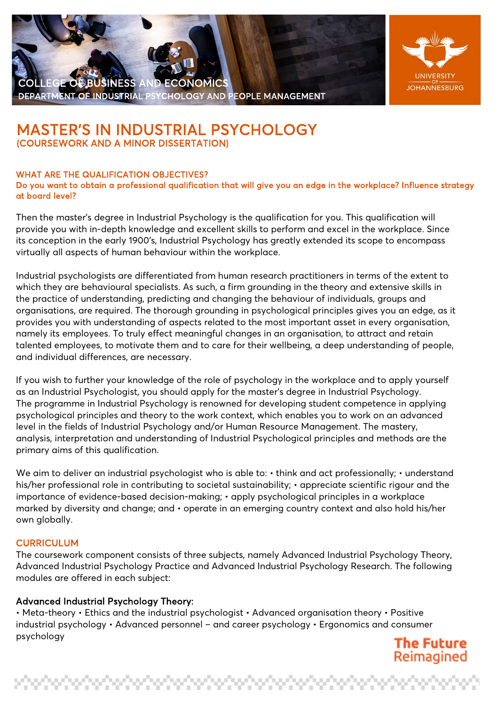## EGE OF BUSINESS AND ECONOMICS EPARTMENT OF INDUSTRIAL PSYCHOLOGY AND PEOPLE MANAGEMENT



# **MASTER'S IN INDUSTRIAL PSYCHOLOGY**<br>(COURSEWORK AND A MINOR DISSERTATION)

#### WHAT ARE THE QUALIFICATION OBJECTIVES?

Do you want to obtain a professional qualification that will give you an edge in the workplace? Influence strategy at board level?

Then the master's degree in Industrial Psychology is the qualification for you. This qualification will provide you with in-depth knowledge and excellent skills to perform and excel in the workplace. Since its conception in the early 1900's, Industrial Psychology has greatly extended its scope to encompass virtually all aspects of human behaviour within the workplace.

Industrial psychologists are differentiated from human research practitioners in terms of the extent to which they are behavioural specialists. As such, a firm grounding in the theory and extensive skills in the practice of understanding, predicting and changing the behaviour of individuals, groups and organisations, are required. The thorough grounding in psychological principles gives you an edge, as it provides you with understanding of aspects related to the most important asset in every organisation, namely its employees. To truly effect meaningful changes in an organisation, to attract and retain talented employees, to motivate them and to care for their wellbeing, a deep understanding of people, and individual differences, are necessary.

If you wish to further your knowledge of the role of psychology in the workplace and to apply yourself as an Industrial Psychologist, you should apply for the master's degree in Industrial Psychology. The programme in Industrial Psychology is renowned for developing student competence in applying psychological principles and theory to the work context, which enables you to work on an advanced level in the fields of Industrial Psychology and/or Human Resource Management. The mastery, analysis, interpretation and understanding of Industrial Psychological principles and methods are the primary aims of this qualification.

We aim to deliver an industrial psychologist who is able to:  $\cdot$  think and act professionally;  $\cdot$  understand his/her professional role in contributing to societal sustainability; • appreciate scientific rigour and the importance of evidence-based decision-making; • apply psychological principles in a workplace marked by diversity and change; and • operate in an emerging country context and also hold his/her own globally.

#### **CURRICULUM**

The coursework component consists of three subjects, namely Advanced Industrial Psychology Theory, Advanced Industrial Psychology Practice and Advanced Industrial Psychology Research. The following modules are offered in each subject:

#### Advanced Industrial Psychology Theory:

• Meta-theory • Ethics and the industrial psychologist • Advanced organisation theory • Positive industrial psychology • Advanced personnel – and career psychology • Ergonomics and consumer psychology